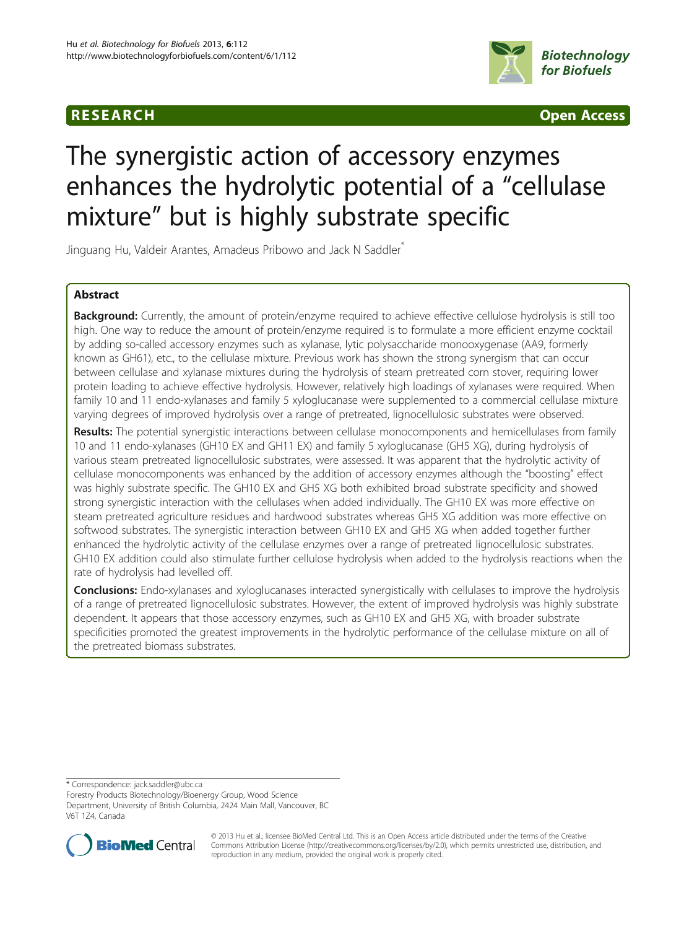# **RESEARCH RESEARCH CONSUMING ACCESS**



# The synergistic action of accessory enzymes enhances the hydrolytic potential of a "cellulase mixture" but is highly substrate specific

Jinguang Hu, Valdeir Arantes, Amadeus Pribowo and Jack N Saddler<sup>\*</sup>

# Abstract

Background: Currently, the amount of protein/enzyme required to achieve effective cellulose hydrolysis is still too high. One way to reduce the amount of protein/enzyme required is to formulate a more efficient enzyme cocktail by adding so-called accessory enzymes such as xylanase, lytic polysaccharide monooxygenase (AA9, formerly known as GH61), etc., to the cellulase mixture. Previous work has shown the strong synergism that can occur between cellulase and xylanase mixtures during the hydrolysis of steam pretreated corn stover, requiring lower protein loading to achieve effective hydrolysis. However, relatively high loadings of xylanases were required. When family 10 and 11 endo-xylanases and family 5 xyloglucanase were supplemented to a commercial cellulase mixture varying degrees of improved hydrolysis over a range of pretreated, lignocellulosic substrates were observed.

Results: The potential synergistic interactions between cellulase monocomponents and hemicellulases from family 10 and 11 endo-xylanases (GH10 EX and GH11 EX) and family 5 xyloglucanase (GH5 XG), during hydrolysis of various steam pretreated lignocellulosic substrates, were assessed. It was apparent that the hydrolytic activity of cellulase monocomponents was enhanced by the addition of accessory enzymes although the "boosting" effect was highly substrate specific. The GH10 EX and GH5 XG both exhibited broad substrate specificity and showed strong synergistic interaction with the cellulases when added individually. The GH10 EX was more effective on steam pretreated agriculture residues and hardwood substrates whereas GH5 XG addition was more effective on softwood substrates. The synergistic interaction between GH10 EX and GH5 XG when added together further enhanced the hydrolytic activity of the cellulase enzymes over a range of pretreated lignocellulosic substrates. GH10 EX addition could also stimulate further cellulose hydrolysis when added to the hydrolysis reactions when the rate of hydrolysis had levelled off.

**Conclusions:** Endo-xylanases and xyloglucanases interacted synergistically with cellulases to improve the hydrolysis of a range of pretreated lignocellulosic substrates. However, the extent of improved hydrolysis was highly substrate dependent. It appears that those accessory enzymes, such as GH10 EX and GH5 XG, with broader substrate specificities promoted the greatest improvements in the hydrolytic performance of the cellulase mixture on all of the pretreated biomass substrates.

\* Correspondence: [jack.saddler@ubc.ca](mailto:jack.saddler@ubc.ca)

Forestry Products Biotechnology/Bioenergy Group, Wood Science

Department, University of British Columbia, 2424 Main Mall, Vancouver, BC V6T 1Z4, Canada



© 2013 Hu et al.; licensee BioMed Central Ltd. This is an Open Access article distributed under the terms of the Creative Commons Attribution License [\(http://creativecommons.org/licenses/by/2.0\)](http://creativecommons.org/licenses/by/2.0), which permits unrestricted use, distribution, and reproduction in any medium, provided the original work is properly cited.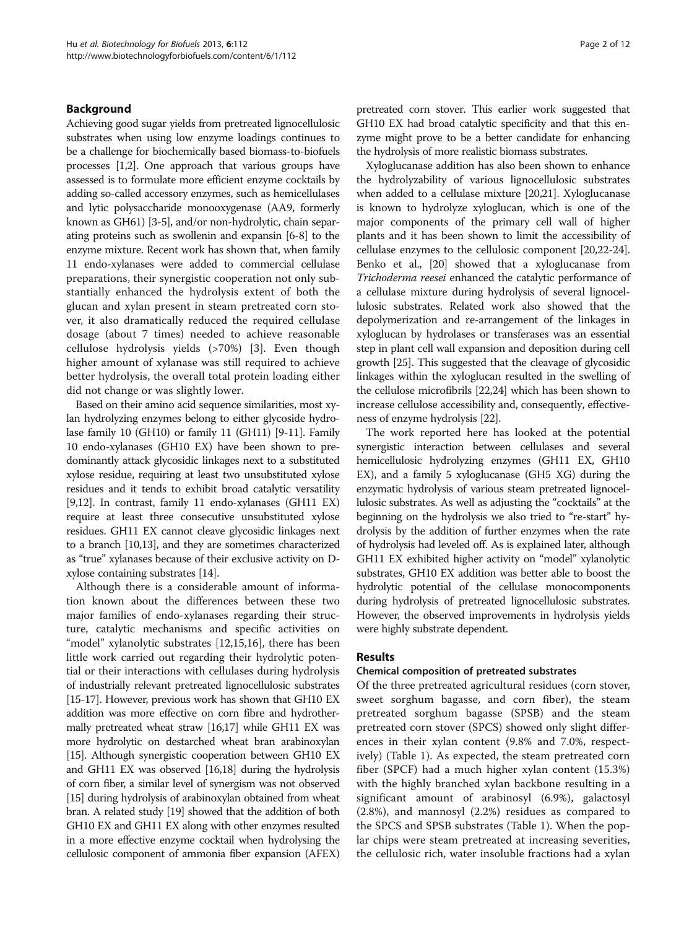# Background

Achieving good sugar yields from pretreated lignocellulosic substrates when using low enzyme loadings continues to be a challenge for biochemically based biomass-to-biofuels processes [\[1,2](#page-9-0)]. One approach that various groups have assessed is to formulate more efficient enzyme cocktails by adding so-called accessory enzymes, such as hemicellulases and lytic polysaccharide monooxygenase (AA9, formerly known as GH61) [[3](#page-9-0)-[5\]](#page-10-0), and/or non-hydrolytic, chain separating proteins such as swollenin and expansin [\[6](#page-10-0)-[8](#page-10-0)] to the enzyme mixture. Recent work has shown that, when family 11 endo-xylanases were added to commercial cellulase preparations, their synergistic cooperation not only substantially enhanced the hydrolysis extent of both the glucan and xylan present in steam pretreated corn stover, it also dramatically reduced the required cellulase dosage (about 7 times) needed to achieve reasonable cellulose hydrolysis yields (>70%) [[3](#page-9-0)]. Even though higher amount of xylanase was still required to achieve better hydrolysis, the overall total protein loading either did not change or was slightly lower.

Based on their amino acid sequence similarities, most xylan hydrolyzing enzymes belong to either glycoside hydrolase family 10 (GH10) or family 11 (GH11) [\[9-11\]](#page-10-0). Family 10 endo-xylanases (GH10 EX) have been shown to predominantly attack glycosidic linkages next to a substituted xylose residue, requiring at least two unsubstituted xylose residues and it tends to exhibit broad catalytic versatility [[9,12\]](#page-10-0). In contrast, family 11 endo-xylanases (GH11 EX) require at least three consecutive unsubstituted xylose residues. GH11 EX cannot cleave glycosidic linkages next to a branch [[10,13\]](#page-10-0), and they are sometimes characterized as "true" xylanases because of their exclusive activity on Dxylose containing substrates [[14](#page-10-0)].

Although there is a considerable amount of information known about the differences between these two major families of endo-xylanases regarding their structure, catalytic mechanisms and specific activities on "model" xylanolytic substrates [\[12,15,16\]](#page-10-0), there has been little work carried out regarding their hydrolytic potential or their interactions with cellulases during hydrolysis of industrially relevant pretreated lignocellulosic substrates [[15](#page-10-0)-[17\]](#page-10-0). However, previous work has shown that GH10 EX addition was more effective on corn fibre and hydrothermally pretreated wheat straw [\[16,17\]](#page-10-0) while GH11 EX was more hydrolytic on destarched wheat bran arabinoxylan [[15](#page-10-0)]. Although synergistic cooperation between GH10 EX and GH11 EX was observed [\[16,18](#page-10-0)] during the hydrolysis of corn fiber, a similar level of synergism was not observed [[15](#page-10-0)] during hydrolysis of arabinoxylan obtained from wheat bran. A related study [\[19\]](#page-10-0) showed that the addition of both GH10 EX and GH11 EX along with other enzymes resulted in a more effective enzyme cocktail when hydrolysing the cellulosic component of ammonia fiber expansion (AFEX)

pretreated corn stover. This earlier work suggested that GH10 EX had broad catalytic specificity and that this enzyme might prove to be a better candidate for enhancing the hydrolysis of more realistic biomass substrates.

Xyloglucanase addition has also been shown to enhance the hydrolyzability of various lignocellulosic substrates when added to a cellulase mixture [[20,21\]](#page-10-0). Xyloglucanase is known to hydrolyze xyloglucan, which is one of the major components of the primary cell wall of higher plants and it has been shown to limit the accessibility of cellulase enzymes to the cellulosic component [\[20,22](#page-10-0)-[24](#page-10-0)]. Benko et al., [\[20\]](#page-10-0) showed that a xyloglucanase from Trichoderma reesei enhanced the catalytic performance of a cellulase mixture during hydrolysis of several lignocellulosic substrates. Related work also showed that the depolymerization and re-arrangement of the linkages in xyloglucan by hydrolases or transferases was an essential step in plant cell wall expansion and deposition during cell growth [\[25\]](#page-10-0). This suggested that the cleavage of glycosidic linkages within the xyloglucan resulted in the swelling of the cellulose microfibrils [\[22,24\]](#page-10-0) which has been shown to increase cellulose accessibility and, consequently, effectiveness of enzyme hydrolysis [\[22](#page-10-0)].

The work reported here has looked at the potential synergistic interaction between cellulases and several hemicellulosic hydrolyzing enzymes (GH11 EX, GH10 EX), and a family 5 xyloglucanase (GH5 XG) during the enzymatic hydrolysis of various steam pretreated lignocellulosic substrates. As well as adjusting the "cocktails" at the beginning on the hydrolysis we also tried to "re-start" hydrolysis by the addition of further enzymes when the rate of hydrolysis had leveled off. As is explained later, although GH11 EX exhibited higher activity on "model" xylanolytic substrates, GH10 EX addition was better able to boost the hydrolytic potential of the cellulase monocomponents during hydrolysis of pretreated lignocellulosic substrates. However, the observed improvements in hydrolysis yields were highly substrate dependent.

#### Results

# Chemical composition of pretreated substrates

Of the three pretreated agricultural residues (corn stover, sweet sorghum bagasse, and corn fiber), the steam pretreated sorghum bagasse (SPSB) and the steam pretreated corn stover (SPCS) showed only slight differences in their xylan content (9.8% and 7.0%, respectively) (Table [1](#page-2-0)). As expected, the steam pretreated corn fiber (SPCF) had a much higher xylan content (15.3%) with the highly branched xylan backbone resulting in a significant amount of arabinosyl (6.9%), galactosyl (2.8%), and mannosyl (2.2%) residues as compared to the SPCS and SPSB substrates (Table [1\)](#page-2-0). When the poplar chips were steam pretreated at increasing severities, the cellulosic rich, water insoluble fractions had a xylan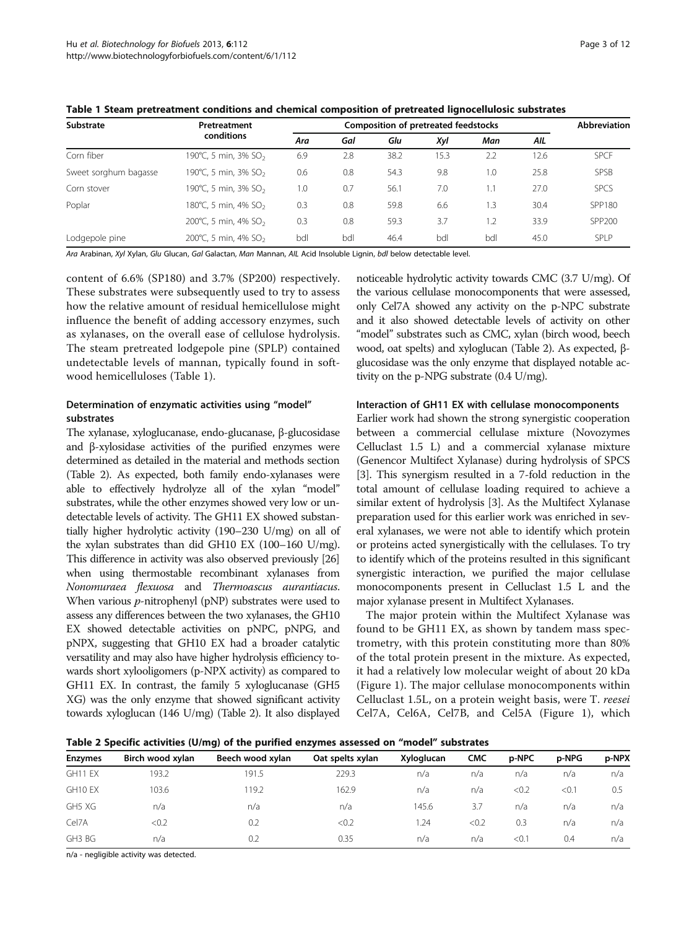<span id="page-2-0"></span>

| Table 1 Steam pretreatment conditions and chemical composition of pretreated lignocellulosic substrates |  |  |  |  |
|---------------------------------------------------------------------------------------------------------|--|--|--|--|
|---------------------------------------------------------------------------------------------------------|--|--|--|--|

| Substrate             | Pretreatment                     |     | Abbreviation |      |      |     |      |               |
|-----------------------|----------------------------------|-----|--------------|------|------|-----|------|---------------|
|                       | conditions                       | Ara | Gal          | Glu  | Xyl  | Man | AIL  |               |
| Corn fiber            | 190°C, 5 min, 3% SO <sub>2</sub> | 6.9 | 2.8          | 38.2 | 15.3 | 2.2 | 12.6 | <b>SPCF</b>   |
| Sweet sorghum bagasse | 190°C, 5 min, 3% SO <sub>2</sub> | 0.6 | 0.8          | 54.3 | 9.8  | 1.0 | 25.8 | <b>SPSB</b>   |
| Corn stover           | 190°C, 5 min, 3% SO <sub>2</sub> | 1.0 | 0.7          | 56.1 | 7.0  | 1.1 | 27.0 | <b>SPCS</b>   |
| Poplar                | 180°C, 5 min, 4% SO <sub>2</sub> | 0.3 | 0.8          | 59.8 | 6.6  | 1.3 | 30.4 | <b>SPP180</b> |
|                       | 200°C, 5 min, 4% SO <sub>2</sub> | 0.3 | 0.8          | 59.3 | 3.7  | 1.2 | 33.9 | SPP200        |
| Lodgepole pine        | 200°C, 5 min, 4% SO <sub>2</sub> | bdl | bdl          | 46.4 | bdl  | bdl | 45.0 | SPLP          |

Ara Arabinan, Xyl Xylan, Glu Glucan, Gal Galactan, Man Mannan, All. Acid Insoluble Lignin, bdl below detectable level.

content of 6.6% (SP180) and 3.7% (SP200) respectively. These substrates were subsequently used to try to assess how the relative amount of residual hemicellulose might influence the benefit of adding accessory enzymes, such as xylanases, on the overall ease of cellulose hydrolysis. The steam pretreated lodgepole pine (SPLP) contained undetectable levels of mannan, typically found in softwood hemicelluloses (Table 1).

# Determination of enzymatic activities using "model" substrates

The xylanase, xyloglucanase, endo-glucanase, β-glucosidase and β-xylosidase activities of the purified enzymes were determined as detailed in the material and methods section (Table 2). As expected, both family endo-xylanases were able to effectively hydrolyze all of the xylan "model" substrates, while the other enzymes showed very low or undetectable levels of activity. The GH11 EX showed substantially higher hydrolytic activity (190–230 U/mg) on all of the xylan substrates than did GH10 EX (100–160 U/mg). This difference in activity was also observed previously [\[26](#page-10-0)] when using thermostable recombinant xylanases from Nonomuraea flexuosa and Thermoascus aurantiacus. When various  $p$ -nitrophenyl (pNP) substrates were used to assess any differences between the two xylanases, the GH10 EX showed detectable activities on pNPC, pNPG, and pNPX, suggesting that GH10 EX had a broader catalytic versatility and may also have higher hydrolysis efficiency towards short xylooligomers (p-NPX activity) as compared to GH11 EX. In contrast, the family 5 xyloglucanase (GH5 XG) was the only enzyme that showed significant activity towards xyloglucan (146 U/mg) (Table 2). It also displayed noticeable hydrolytic activity towards CMC (3.7 U/mg). Of the various cellulase monocomponents that were assessed, only Cel7A showed any activity on the p-NPC substrate and it also showed detectable levels of activity on other "model" substrates such as CMC, xylan (birch wood, beech wood, oat spelts) and xyloglucan (Table 2). As expected, βglucosidase was the only enzyme that displayed notable activity on the p-NPG substrate (0.4 U/mg).

#### Interaction of GH11 EX with cellulase monocomponents

Earlier work had shown the strong synergistic cooperation between a commercial cellulase mixture (Novozymes Celluclast 1.5 L) and a commercial xylanase mixture (Genencor Multifect Xylanase) during hydrolysis of SPCS [[3\]](#page-9-0). This synergism resulted in a 7-fold reduction in the total amount of cellulase loading required to achieve a similar extent of hydrolysis [\[3](#page-9-0)]. As the Multifect Xylanase preparation used for this earlier work was enriched in several xylanases, we were not able to identify which protein or proteins acted synergistically with the cellulases. To try to identify which of the proteins resulted in this significant synergistic interaction, we purified the major cellulase monocomponents present in Celluclast 1.5 L and the major xylanase present in Multifect Xylanases.

The major protein within the Multifect Xylanase was found to be GH11 EX, as shown by tandem mass spectrometry, with this protein constituting more than 80% of the total protein present in the mixture. As expected, it had a relatively low molecular weight of about 20 kDa (Figure [1](#page-3-0)). The major cellulase monocomponents within Celluclast 1.5L, on a protein weight basis, were T. reesei Cel7A, Cel6A, Cel7B, and Cel5A (Figure [1](#page-3-0)), which

Table 2 Specific activities (U/mg) of the purified enzymes assessed on "model" substrates

| <b>Enzymes</b> | Birch wood xylan | Beech wood xylan | Oat spelts xylan | Xyloglucan | <b>CMC</b> | p-NPC | p-NPG | p-NPX |
|----------------|------------------|------------------|------------------|------------|------------|-------|-------|-------|
| GH11 EX        | 193.2            | 191.5            | 229.3            | n/a        | n/a        | n/a   | n/a   | n/a   |
| GH10 EX        | 103.6            | 119.2            | 162.9            | n/a        | n/a        | < 0.2 | < 0.1 | 0.5   |
| GH5 XG         | n/a              | n/a              | n/a              | 145.6      | 3.7        | n/a   | n/a   | n/a   |
| Cel7A          | < 0.2            | 0.2              | < 0.2            | .24        | < 0.2      | 0.3   | n/a   | n/a   |
| GH3 BG         | n/a              | 0.2              | 0.35             | n/a        | n/a        | < 0.1 | 0.4   | n/a   |

n/a - negligible activity was detected.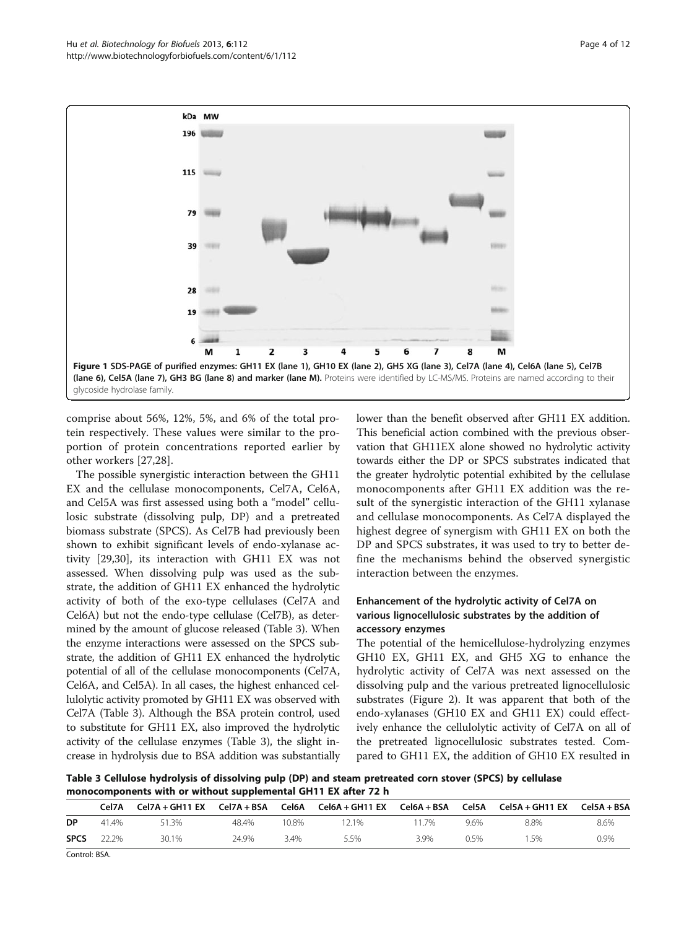<span id="page-3-0"></span>

comprise about 56%, 12%, 5%, and 6% of the total protein respectively. These values were similar to the proportion of protein concentrations reported earlier by other workers [\[27](#page-10-0),[28\]](#page-10-0).

The possible synergistic interaction between the GH11 EX and the cellulase monocomponents, Cel7A, Cel6A, and Cel5A was first assessed using both a "model" cellulosic substrate (dissolving pulp, DP) and a pretreated biomass substrate (SPCS). As Cel7B had previously been shown to exhibit significant levels of endo-xylanase activity [[29,30\]](#page-10-0), its interaction with GH11 EX was not assessed. When dissolving pulp was used as the substrate, the addition of GH11 EX enhanced the hydrolytic activity of both of the exo-type cellulases (Cel7A and Cel6A) but not the endo-type cellulase (Cel7B), as determined by the amount of glucose released (Table 3). When the enzyme interactions were assessed on the SPCS substrate, the addition of GH11 EX enhanced the hydrolytic potential of all of the cellulase monocomponents (Cel7A, Cel6A, and Cel5A). In all cases, the highest enhanced cellulolytic activity promoted by GH11 EX was observed with Cel7A (Table 3). Although the BSA protein control, used to substitute for GH11 EX, also improved the hydrolytic activity of the cellulase enzymes (Table 3), the slight increase in hydrolysis due to BSA addition was substantially lower than the benefit observed after GH11 EX addition. This beneficial action combined with the previous observation that GH11EX alone showed no hydrolytic activity towards either the DP or SPCS substrates indicated that the greater hydrolytic potential exhibited by the cellulase monocomponents after GH11 EX addition was the result of the synergistic interaction of the GH11 xylanase and cellulase monocomponents. As Cel7A displayed the highest degree of synergism with GH11 EX on both the DP and SPCS substrates, it was used to try to better define the mechanisms behind the observed synergistic interaction between the enzymes.

# Enhancement of the hydrolytic activity of Cel7A on various lignocellulosic substrates by the addition of accessory enzymes

The potential of the hemicellulose-hydrolyzing enzymes GH10 EX, GH11 EX, and GH5 XG to enhance the hydrolytic activity of Cel7A was next assessed on the dissolving pulp and the various pretreated lignocellulosic substrates (Figure [2](#page-4-0)). It was apparent that both of the endo-xylanases (GH10 EX and GH11 EX) could effectively enhance the cellulolytic activity of Cel7A on all of the pretreated lignocellulosic substrates tested. Compared to GH11 EX, the addition of GH10 EX resulted in

Table 3 Cellulose hydrolysis of dissolving pulp (DP) and steam pretreated corn stover (SPCS) by cellulase monocomponents with or without supplemental GH11 EX after 72 h

|             | Cel7A | $CeI7A + GH11 EX$ | Cel7A + BSA | Cel6A | $Cel6A + GH11 EX$ $Cel6A + BSA$ |      | Cel5A | $Cel5A + GH11 EX$ $Cel5A + BSA$ |      |
|-------------|-------|-------------------|-------------|-------|---------------------------------|------|-------|---------------------------------|------|
| <b>DP</b>   | 414%  | 51.3%             | 48.4%       | 10.8% | $12.1\%$                        | 1.7% | 9.6%  | 8.8%                            | 8.6% |
| <b>SPCS</b> | 22.2% | 30.1%             | 24.9%       | 3.4%  | 5.5%                            | 3.9% | 0.5%  | .5%                             | 0.9% |

Control: BSA.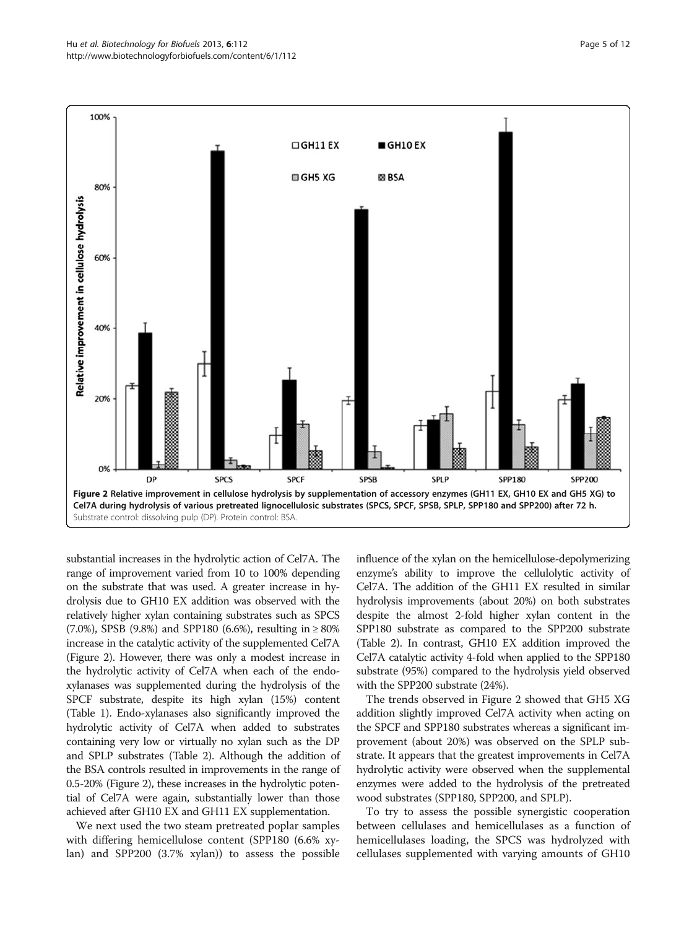<span id="page-4-0"></span>

substantial increases in the hydrolytic action of Cel7A. The range of improvement varied from 10 to 100% depending on the substrate that was used. A greater increase in hydrolysis due to GH10 EX addition was observed with the relatively higher xylan containing substrates such as SPCS (7.0%), SPSB (9.8%) and SPP180 (6.6%), resulting in  $\geq 80\%$ increase in the catalytic activity of the supplemented Cel7A (Figure 2). However, there was only a modest increase in the hydrolytic activity of Cel7A when each of the endoxylanases was supplemented during the hydrolysis of the SPCF substrate, despite its high xylan (15%) content (Table [1](#page-2-0)). Endo-xylanases also significantly improved the hydrolytic activity of Cel7A when added to substrates containing very low or virtually no xylan such as the DP and SPLP substrates (Table [2\)](#page-2-0). Although the addition of the BSA controls resulted in improvements in the range of 0.5-20% (Figure 2), these increases in the hydrolytic potential of Cel7A were again, substantially lower than those achieved after GH10 EX and GH11 EX supplementation.

We next used the two steam pretreated poplar samples with differing hemicellulose content (SPP180 (6.6% xylan) and SPP200 (3.7% xylan)) to assess the possible influence of the xylan on the hemicellulose-depolymerizing enzyme's ability to improve the cellulolytic activity of Cel7A. The addition of the GH11 EX resulted in similar hydrolysis improvements (about 20%) on both substrates despite the almost 2-fold higher xylan content in the SPP180 substrate as compared to the SPP200 substrate (Table [2\)](#page-2-0). In contrast, GH10 EX addition improved the Cel7A catalytic activity 4-fold when applied to the SPP180 substrate (95%) compared to the hydrolysis yield observed with the SPP200 substrate (24%).

The trends observed in Figure 2 showed that GH5 XG addition slightly improved Cel7A activity when acting on the SPCF and SPP180 substrates whereas a significant improvement (about 20%) was observed on the SPLP substrate. It appears that the greatest improvements in Cel7A hydrolytic activity were observed when the supplemental enzymes were added to the hydrolysis of the pretreated wood substrates (SPP180, SPP200, and SPLP).

To try to assess the possible synergistic cooperation between cellulases and hemicellulases as a function of hemicellulases loading, the SPCS was hydrolyzed with cellulases supplemented with varying amounts of GH10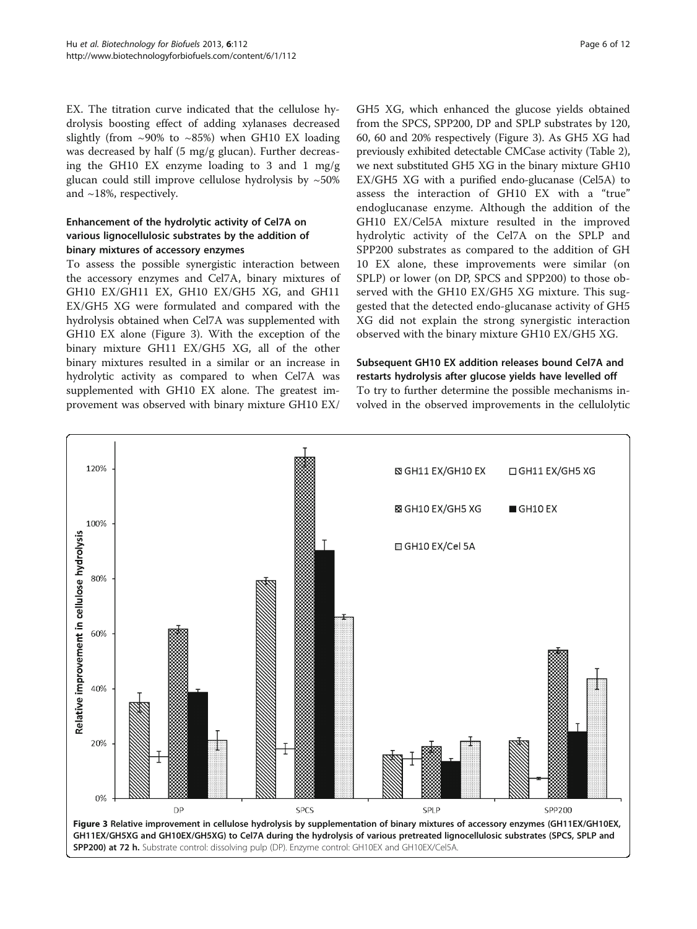EX. The titration curve indicated that the cellulose hydrolysis boosting effect of adding xylanases decreased slightly (from  $\sim$ 90% to  $\sim$ 85%) when GH10 EX loading was decreased by half (5 mg/g glucan). Further decreasing the GH10 EX enzyme loading to 3 and 1 mg/g glucan could still improve cellulose hydrolysis by ~50% and ~18%, respectively.

# Enhancement of the hydrolytic activity of Cel7A on various lignocellulosic substrates by the addition of binary mixtures of accessory enzymes

To assess the possible synergistic interaction between the accessory enzymes and Cel7A, binary mixtures of GH10 EX/GH11 EX, GH10 EX/GH5 XG, and GH11 EX/GH5 XG were formulated and compared with the hydrolysis obtained when Cel7A was supplemented with GH10 EX alone (Figure 3). With the exception of the binary mixture GH11 EX/GH5 XG, all of the other binary mixtures resulted in a similar or an increase in hydrolytic activity as compared to when Cel7A was supplemented with GH10 EX alone. The greatest improvement was observed with binary mixture GH10 EX/

GH5 XG, which enhanced the glucose yields obtained from the SPCS, SPP200, DP and SPLP substrates by 120, 60, 60 and 20% respectively (Figure 3). As GH5 XG had previously exhibited detectable CMCase activity (Table [2](#page-2-0)), we next substituted GH5 XG in the binary mixture GH10 EX/GH5 XG with a purified endo-glucanase (Cel5A) to assess the interaction of GH10 EX with a "true" endoglucanase enzyme. Although the addition of the GH10 EX/Cel5A mixture resulted in the improved hydrolytic activity of the Cel7A on the SPLP and SPP200 substrates as compared to the addition of GH 10 EX alone, these improvements were similar (on SPLP) or lower (on DP, SPCS and SPP200) to those observed with the GH10 EX/GH5 XG mixture. This suggested that the detected endo-glucanase activity of GH5 XG did not explain the strong synergistic interaction observed with the binary mixture GH10 EX/GH5 XG.

Subsequent GH10 EX addition releases bound Cel7A and restarts hydrolysis after glucose yields have levelled off To try to further determine the possible mechanisms involved in the observed improvements in the cellulolytic

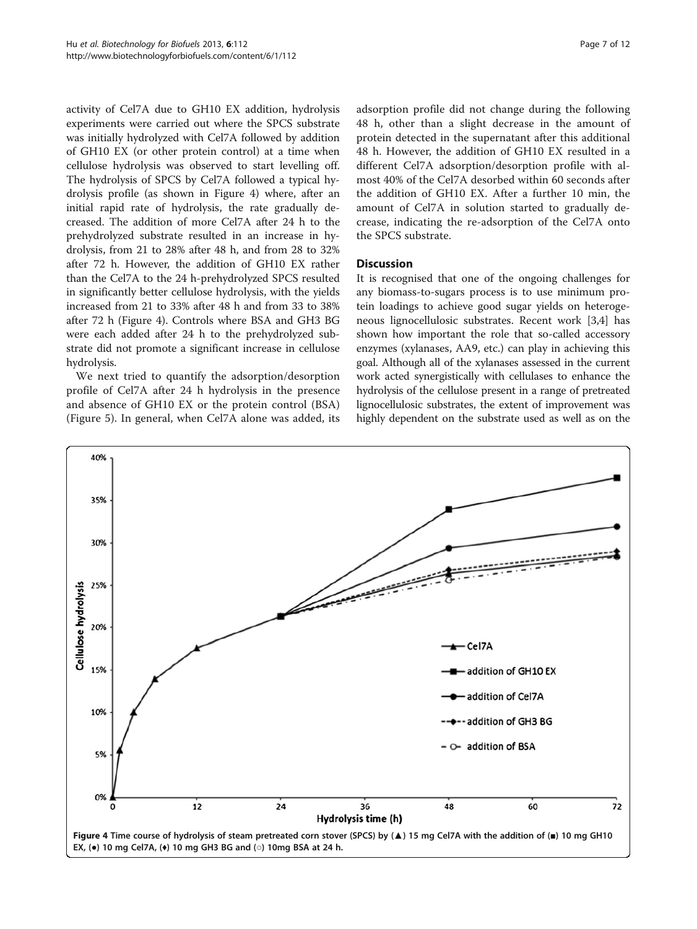activity of Cel7A due to GH10 EX addition, hydrolysis experiments were carried out where the SPCS substrate was initially hydrolyzed with Cel7A followed by addition of GH10 EX (or other protein control) at a time when cellulose hydrolysis was observed to start levelling off. The hydrolysis of SPCS by Cel7A followed a typical hydrolysis profile (as shown in Figure 4) where, after an initial rapid rate of hydrolysis, the rate gradually decreased. The addition of more Cel7A after 24 h to the prehydrolyzed substrate resulted in an increase in hydrolysis, from 21 to 28% after 48 h, and from 28 to 32% after 72 h. However, the addition of GH10 EX rather than the Cel7A to the 24 h-prehydrolyzed SPCS resulted in significantly better cellulose hydrolysis, with the yields increased from 21 to 33% after 48 h and from 33 to 38% after 72 h (Figure 4). Controls where BSA and GH3 BG were each added after 24 h to the prehydrolyzed substrate did not promote a significant increase in cellulose hydrolysis.

We next tried to quantify the adsorption/desorption profile of Cel7A after 24 h hydrolysis in the presence and absence of GH10 EX or the protein control (BSA) (Figure [5\)](#page-7-0). In general, when Cel7A alone was added, its adsorption profile did not change during the following 48 h, other than a slight decrease in the amount of protein detected in the supernatant after this additional 48 h. However, the addition of GH10 EX resulted in a different Cel7A adsorption/desorption profile with almost 40% of the Cel7A desorbed within 60 seconds after the addition of GH10 EX. After a further 10 min, the amount of Cel7A in solution started to gradually decrease, indicating the re-adsorption of the Cel7A onto the SPCS substrate.

#### **Discussion**

It is recognised that one of the ongoing challenges for any biomass-to-sugars process is to use minimum protein loadings to achieve good sugar yields on heterogeneous lignocellulosic substrates. Recent work [\[3](#page-9-0)[,4\]](#page-10-0) has shown how important the role that so-called accessory enzymes (xylanases, AA9, etc.) can play in achieving this goal. Although all of the xylanases assessed in the current work acted synergistically with cellulases to enhance the hydrolysis of the cellulose present in a range of pretreated lignocellulosic substrates, the extent of improvement was highly dependent on the substrate used as well as on the

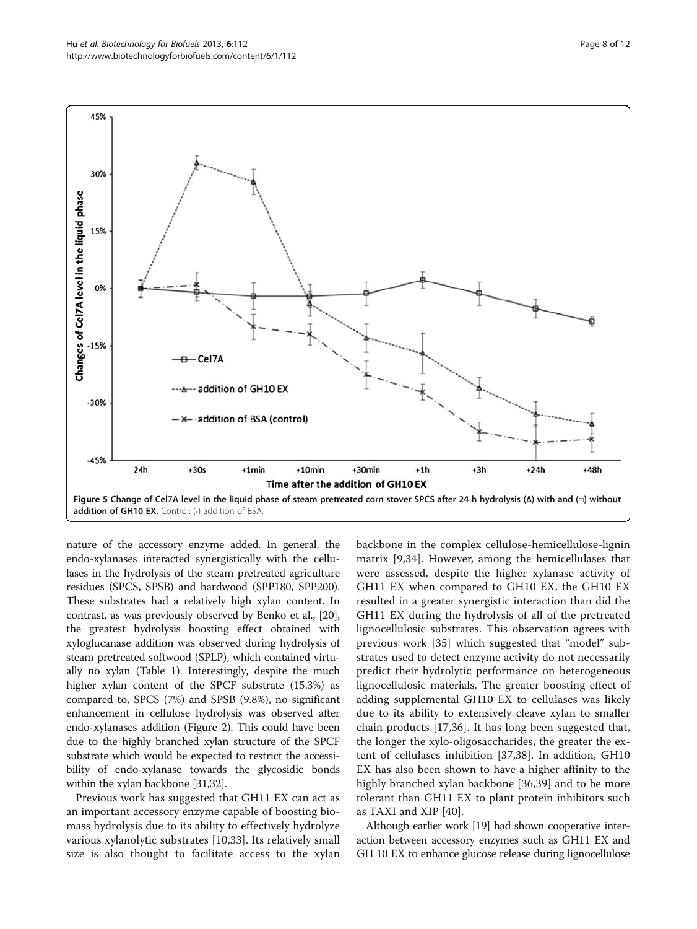<span id="page-7-0"></span>

nature of the accessory enzyme added. In general, the endo-xylanases interacted synergistically with the cellulases in the hydrolysis of the steam pretreated agriculture residues (SPCS, SPSB) and hardwood (SPP180, SPP200). These substrates had a relatively high xylan content. In contrast, as was previously observed by Benko et al., [[20](#page-10-0)], the greatest hydrolysis boosting effect obtained with xyloglucanase addition was observed during hydrolysis of steam pretreated softwood (SPLP), which contained virtually no xylan (Table [1\)](#page-2-0). Interestingly, despite the much higher xylan content of the SPCF substrate (15.3%) as compared to, SPCS (7%) and SPSB (9.8%), no significant enhancement in cellulose hydrolysis was observed after endo-xylanases addition (Figure [2](#page-4-0)). This could have been due to the highly branched xylan structure of the SPCF substrate which would be expected to restrict the accessibility of endo-xylanase towards the glycosidic bonds within the xylan backbone [[31,32\]](#page-10-0).

Previous work has suggested that GH11 EX can act as an important accessory enzyme capable of boosting biomass hydrolysis due to its ability to effectively hydrolyze various xylanolytic substrates [[10,33\]](#page-10-0). Its relatively small size is also thought to facilitate access to the xylan

backbone in the complex cellulose-hemicellulose-lignin matrix [\[9](#page-10-0),[34\]](#page-10-0). However, among the hemicellulases that were assessed, despite the higher xylanase activity of GH11 EX when compared to GH10 EX, the GH10 EX resulted in a greater synergistic interaction than did the GH11 EX during the hydrolysis of all of the pretreated lignocellulosic substrates. This observation agrees with previous work [\[35](#page-10-0)] which suggested that "model" substrates used to detect enzyme activity do not necessarily predict their hydrolytic performance on heterogeneous lignocellulosic materials. The greater boosting effect of adding supplemental GH10 EX to cellulases was likely due to its ability to extensively cleave xylan to smaller chain products [[17,36](#page-10-0)]. It has long been suggested that, the longer the xylo-oligosaccharides, the greater the extent of cellulases inhibition [\[37](#page-10-0),[38\]](#page-10-0). In addition, GH10 EX has also been shown to have a higher affinity to the highly branched xylan backbone [[36,39](#page-10-0)] and to be more tolerant than GH11 EX to plant protein inhibitors such as TAXI and XIP [\[40](#page-10-0)].

Although earlier work [[19](#page-10-0)] had shown cooperative interaction between accessory enzymes such as GH11 EX and GH 10 EX to enhance glucose release during lignocellulose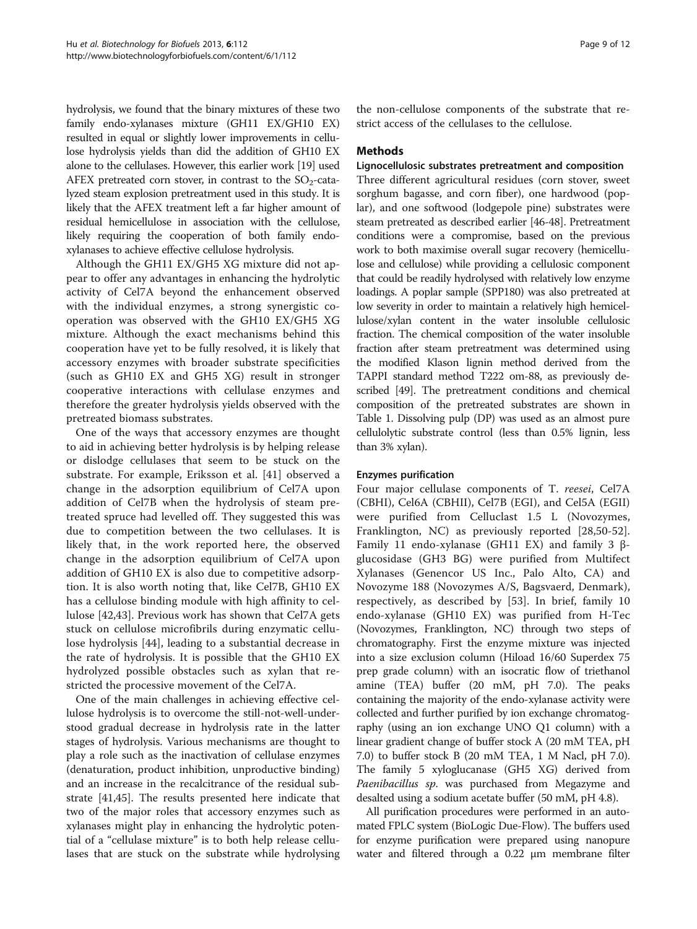hydrolysis, we found that the binary mixtures of these two family endo-xylanases mixture (GH11 EX/GH10 EX) resulted in equal or slightly lower improvements in cellulose hydrolysis yields than did the addition of GH10 EX alone to the cellulases. However, this earlier work [\[19\]](#page-10-0) used AFEX pretreated corn stover, in contrast to the  $SO_2$ -catalyzed steam explosion pretreatment used in this study. It is likely that the AFEX treatment left a far higher amount of residual hemicellulose in association with the cellulose, likely requiring the cooperation of both family endoxylanases to achieve effective cellulose hydrolysis.

Although the GH11 EX/GH5 XG mixture did not appear to offer any advantages in enhancing the hydrolytic activity of Cel7A beyond the enhancement observed with the individual enzymes, a strong synergistic cooperation was observed with the GH10 EX/GH5 XG mixture. Although the exact mechanisms behind this cooperation have yet to be fully resolved, it is likely that accessory enzymes with broader substrate specificities (such as GH10 EX and GH5 XG) result in stronger cooperative interactions with cellulase enzymes and therefore the greater hydrolysis yields observed with the pretreated biomass substrates.

One of the ways that accessory enzymes are thought to aid in achieving better hydrolysis is by helping release or dislodge cellulases that seem to be stuck on the substrate. For example, Eriksson et al. [[41\]](#page-10-0) observed a change in the adsorption equilibrium of Cel7A upon addition of Cel7B when the hydrolysis of steam pretreated spruce had levelled off. They suggested this was due to competition between the two cellulases. It is likely that, in the work reported here, the observed change in the adsorption equilibrium of Cel7A upon addition of GH10 EX is also due to competitive adsorption. It is also worth noting that, like Cel7B, GH10 EX has a cellulose binding module with high affinity to cellulose [[42,43](#page-10-0)]. Previous work has shown that Cel7A gets stuck on cellulose microfibrils during enzymatic cellulose hydrolysis [\[44](#page-10-0)], leading to a substantial decrease in the rate of hydrolysis. It is possible that the GH10 EX hydrolyzed possible obstacles such as xylan that restricted the processive movement of the Cel7A.

One of the main challenges in achieving effective cellulose hydrolysis is to overcome the still-not-well-understood gradual decrease in hydrolysis rate in the latter stages of hydrolysis. Various mechanisms are thought to play a role such as the inactivation of cellulase enzymes (denaturation, product inhibition, unproductive binding) and an increase in the recalcitrance of the residual substrate [\[41,45\]](#page-10-0). The results presented here indicate that two of the major roles that accessory enzymes such as xylanases might play in enhancing the hydrolytic potential of a "cellulase mixture" is to both help release cellulases that are stuck on the substrate while hydrolysing the non-cellulose components of the substrate that restrict access of the cellulases to the cellulose.

# **Methods**

## Lignocellulosic substrates pretreatment and composition

Three different agricultural residues (corn stover, sweet sorghum bagasse, and corn fiber), one hardwood (poplar), and one softwood (lodgepole pine) substrates were steam pretreated as described earlier [\[46](#page-10-0)[-48\]](#page-11-0). Pretreatment conditions were a compromise, based on the previous work to both maximise overall sugar recovery (hemicellulose and cellulose) while providing a cellulosic component that could be readily hydrolysed with relatively low enzyme loadings. A poplar sample (SPP180) was also pretreated at low severity in order to maintain a relatively high hemicellulose/xylan content in the water insoluble cellulosic fraction. The chemical composition of the water insoluble fraction after steam pretreatment was determined using the modified Klason lignin method derived from the TAPPI standard method T222 om-88, as previously described [\[49](#page-11-0)]. The pretreatment conditions and chemical composition of the pretreated substrates are shown in Table [1](#page-2-0). Dissolving pulp (DP) was used as an almost pure cellulolytic substrate control (less than 0.5% lignin, less than 3% xylan).

#### Enzymes purification

Four major cellulase components of T. reesei, Cel7A (CBHI), Cel6A (CBHII), Cel7B (EGI), and Cel5A (EGII) were purified from Celluclast 1.5 L (Novozymes, Franklington, NC) as previously reported [\[28](#page-10-0)[,50-52](#page-11-0)]. Family 11 endo-xylanase (GH11 EX) and family 3 βglucosidase (GH3 BG) were purified from Multifect Xylanases (Genencor US Inc., Palo Alto, CA) and Novozyme 188 (Novozymes A/S, Bagsvaerd, Denmark), respectively, as described by [[53](#page-11-0)]. In brief, family 10 endo-xylanase (GH10 EX) was purified from H-Tec (Novozymes, Franklington, NC) through two steps of chromatography. First the enzyme mixture was injected into a size exclusion column (Hiload 16/60 Superdex 75 prep grade column) with an isocratic flow of triethanol amine (TEA) buffer (20 mM, pH 7.0). The peaks containing the majority of the endo-xylanase activity were collected and further purified by ion exchange chromatography (using an ion exchange UNO Q1 column) with a linear gradient change of buffer stock A (20 mM TEA, pH 7.0) to buffer stock B (20 mM TEA, 1 M Nacl, pH 7.0). The family 5 xyloglucanase (GH5 XG) derived from Paenibacillus sp. was purchased from Megazyme and desalted using a sodium acetate buffer (50 mM, pH 4.8).

All purification procedures were performed in an automated FPLC system (BioLogic Due-Flow). The buffers used for enzyme purification were prepared using nanopure water and filtered through a 0.22 μm membrane filter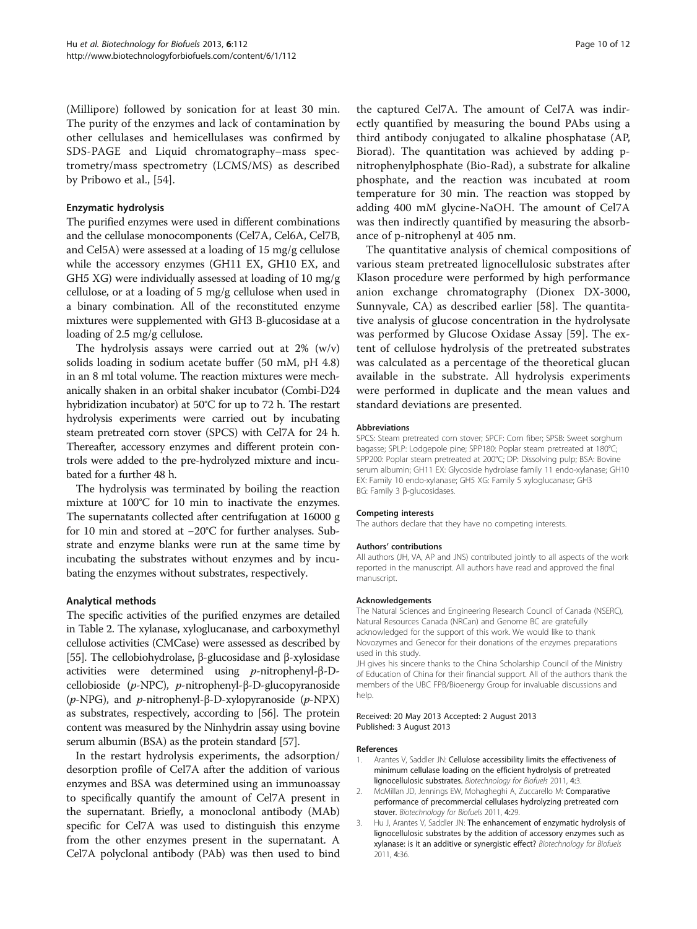<span id="page-9-0"></span>(Millipore) followed by sonication for at least 30 min. The purity of the enzymes and lack of contamination by other cellulases and hemicellulases was confirmed by SDS-PAGE and Liquid chromatography–mass spectrometry/mass spectrometry (LCMS/MS) as described by Pribowo et al., [\[54](#page-11-0)].

#### Enzymatic hydrolysis

The purified enzymes were used in different combinations and the cellulase monocomponents (Cel7A, Cel6A, Cel7B, and Cel5A) were assessed at a loading of 15 mg/g cellulose while the accessory enzymes (GH11 EX, GH10 EX, and GH5 XG) were individually assessed at loading of 10 mg/g cellulose, or at a loading of 5 mg/g cellulose when used in a binary combination. All of the reconstituted enzyme mixtures were supplemented with GH3 B-glucosidase at a loading of 2.5 mg/g cellulose.

The hydrolysis assays were carried out at  $2\%$  (w/v) solids loading in sodium acetate buffer (50 mM, pH 4.8) in an 8 ml total volume. The reaction mixtures were mechanically shaken in an orbital shaker incubator (Combi-D24 hybridization incubator) at 50°C for up to 72 h. The restart hydrolysis experiments were carried out by incubating steam pretreated corn stover (SPCS) with Cel7A for 24 h. Thereafter, accessory enzymes and different protein controls were added to the pre-hydrolyzed mixture and incubated for a further 48 h.

The hydrolysis was terminated by boiling the reaction mixture at 100°C for 10 min to inactivate the enzymes. The supernatants collected after centrifugation at 16000 g for 10 min and stored at −20°C for further analyses. Substrate and enzyme blanks were run at the same time by incubating the substrates without enzymes and by incubating the enzymes without substrates, respectively.

# Analytical methods

The specific activities of the purified enzymes are detailed in Table [2.](#page-2-0) The xylanase, xyloglucanase, and carboxymethyl cellulose activities (CMCase) were assessed as described by [[55](#page-11-0)]. The cellobiohydrolase, β-glucosidase and β-xylosidase activities were determined using p-nitrophenyl-β-Dcellobioside (p-NPC), p-nitrophenyl-β-D-glucopyranoside ( $p$ -NPG), and  $p$ -nitrophenyl-β-D-xylopyranoside ( $p$ -NPX) as substrates, respectively, according to [[56](#page-11-0)]. The protein content was measured by the Ninhydrin assay using bovine serum albumin (BSA) as the protein standard [[57](#page-11-0)].

In the restart hydrolysis experiments, the adsorption/ desorption profile of Cel7A after the addition of various enzymes and BSA was determined using an immunoassay to specifically quantify the amount of Cel7A present in the supernatant. Briefly, a monoclonal antibody (MAb) specific for Cel7A was used to distinguish this enzyme from the other enzymes present in the supernatant. A Cel7A polyclonal antibody (PAb) was then used to bind

the captured Cel7A. The amount of Cel7A was indirectly quantified by measuring the bound PAbs using a third antibody conjugated to alkaline phosphatase (AP, Biorad). The quantitation was achieved by adding pnitrophenylphosphate (Bio-Rad), a substrate for alkaline phosphate, and the reaction was incubated at room temperature for 30 min. The reaction was stopped by adding 400 mM glycine-NaOH. The amount of Cel7A was then indirectly quantified by measuring the absorbance of p-nitrophenyl at 405 nm.

The quantitative analysis of chemical compositions of various steam pretreated lignocellulosic substrates after Klason procedure were performed by high performance anion exchange chromatography (Dionex DX-3000, Sunnyvale, CA) as described earlier [[58\]](#page-11-0). The quantitative analysis of glucose concentration in the hydrolysate was performed by Glucose Oxidase Assay [\[59](#page-11-0)]. The extent of cellulose hydrolysis of the pretreated substrates was calculated as a percentage of the theoretical glucan available in the substrate. All hydrolysis experiments were performed in duplicate and the mean values and standard deviations are presented.

#### Abbreviations

SPCS: Steam pretreated corn stover; SPCF: Corn fiber; SPSB: Sweet sorghum bagasse; SPLP: Lodgepole pine; SPP180: Poplar steam pretreated at 180°C; SPP200: Poplar steam pretreated at 200°C; DP: Dissolving pulp; BSA: Bovine serum albumin; GH11 EX: Glycoside hydrolase family 11 endo-xylanase; GH10 EX: Family 10 endo-xylanase; GH5 XG: Family 5 xyloglucanase; GH3 BG: Family 3 β-glucosidases.

#### Competing interests

The authors declare that they have no competing interests.

#### Authors' contributions

All authors (JH, VA, AP and JNS) contributed jointly to all aspects of the work reported in the manuscript. All authors have read and approved the final manuscript.

#### Acknowledgements

The Natural Sciences and Engineering Research Council of Canada (NSERC), Natural Resources Canada (NRCan) and Genome BC are gratefully acknowledged for the support of this work. We would like to thank Novozymes and Genecor for their donations of the enzymes preparations used in this study.

JH gives his sincere thanks to the China Scholarship Council of the Ministry of Education of China for their financial support. All of the authors thank the members of the UBC FPB/Bioenergy Group for invaluable discussions and help.

Received: 20 May 2013 Accepted: 2 August 2013 Published: 3 August 2013

#### References

- Arantes V, Saddler JN: Cellulose accessibility limits the effectiveness of minimum cellulase loading on the efficient hydrolysis of pretreated lignocellulosic substrates. Biotechnology for Biofuels 2011, 4:3.
- 2. McMillan JD, Jennings EW, Mohagheghi A, Zuccarello M: Comparative performance of precommercial cellulases hydrolyzing pretreated corn stover. Biotechnology for Biofuels 2011, 4:29.
- 3. Hu J, Arantes V, Saddler JN: The enhancement of enzymatic hydrolysis of lignocellulosic substrates by the addition of accessory enzymes such as xylanase: is it an additive or synergistic effect? Biotechnology for Biofuels 2011, 4:36.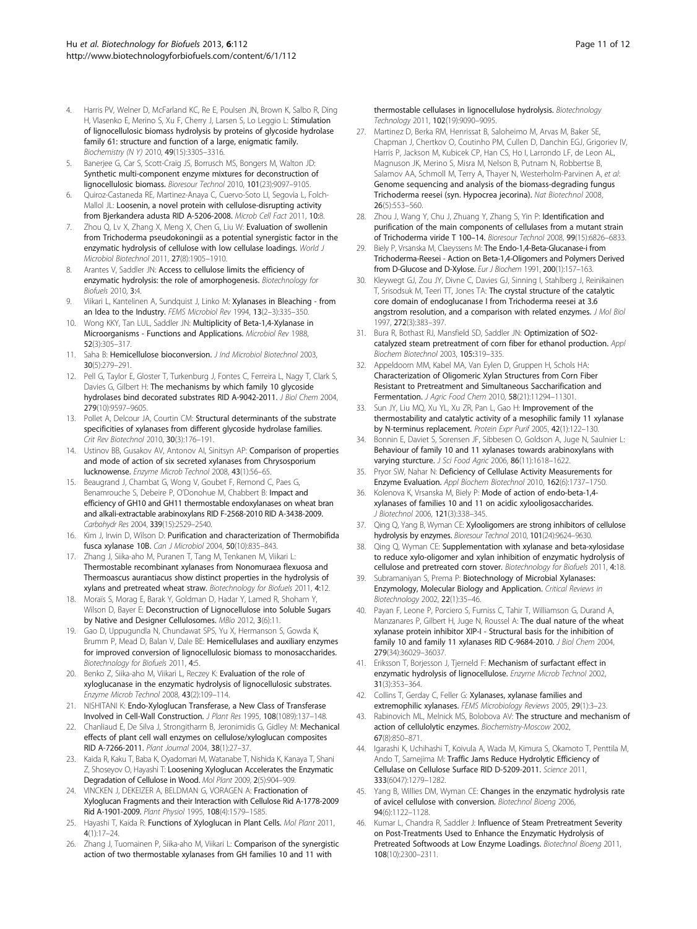- <span id="page-10-0"></span>4. Harris PV, Welner D, McFarland KC, Re E, Poulsen JN, Brown K, Salbo R, Ding H, Vlasenko E, Merino S, Xu F, Cherry J, Larsen S, Lo Leggio L: Stimulation of lignocellulosic biomass hydrolysis by proteins of glycoside hydrolase family 61: structure and function of a large, enigmatic family. Biochemistry (N Y) 2010, 49(15):3305–3316.
- 5. Banerjee G, Car S, Scott-Craig JS, Borrusch MS, Bongers M, Walton JD: Synthetic multi-component enzyme mixtures for deconstruction of lignocellulosic biomass. Bioresour Technol 2010, 101(23):9097–9105.
- Quiroz-Castaneda RE, Martinez-Anaya C, Cuervo-Soto LI, Segovia L, Folch-Mallol JL: Loosenin, a novel protein with cellulose-disrupting activity from Bjerkandera adusta RID A-5206-2008. Microb Cell Fact 2011, 10:8.
- 7. Zhou Q, Lv X, Zhang X, Meng X, Chen G, Liu W: Evaluation of swollenin from Trichoderma pseudokoningii as a potential synergistic factor in the enzymatic hydrolysis of cellulose with low cellulase loadings. World J Microbiol Biotechnol 2011, 27(8):1905–1910.
- 8. Arantes V, Saddler JN: Access to cellulose limits the efficiency of enzymatic hydrolysis: the role of amorphogenesis. Biotechnology for Biofuels 2010, 3:4.
- Viikari L, Kantelinen A, Sundquist J, Linko M: Xylanases in Bleaching from an Idea to the Industry. FEMS Microbiol Rev 1994, 13(2–3):335–350.
- 10. Wong KKY, Tan LUL, Saddler JN: Multiplicity of Beta-1,4-Xylanase in Microorganisms - Functions and Applications. Microbiol Rev 1988, 52(3):305–317.
- 11. Saha B: Hemicellulose bioconversion. J Ind Microbiol Biotechnol 2003, 30(5):279–291.
- 12. Pell G, Taylor E, Gloster T, Turkenburg J, Fontes C, Ferreira L, Nagy T, Clark S, Davies G, Gilbert H: The mechanisms by which family 10 glycoside hydrolases bind decorated substrates RID A-9042-2011. J Biol Chem 2004, 279(10):9597–9605.
- 13. Pollet A, Delcour JA, Courtin CM: Structural determinants of the substrate specificities of xylanases from different glycoside hydrolase families. Crit Rev Biotechnol 2010, 30(3):176–191.
- 14. Ustinov BB, Gusakov AV, Antonov AI, Sinitsyn AP: Comparison of properties and mode of action of six secreted xylanases from Chrysosporium lucknowense. Enzyme Microb Technol 2008, 43(1):56–65.
- 15. Beaugrand J, Chambat G, Wong V, Goubet F, Remond C, Paes G, Benamrouche S, Debeire P, O'Donohue M, Chabbert B: Impact and efficiency of GH10 and GH11 thermostable endoxylanases on wheat bran and alkali-extractable arabinoxylans RID F-2568-2010 RID A-3438-2009. Carbohydr Res 2004, 339(15):2529–2540.
- 16. Kim J, Irwin D, Wilson D: Purification and characterization of Thermobifida fusca xylanase 10B. Can J Microbiol 2004, 50(10):835–843.
- 17. Zhang J, Siika-aho M, Puranen T, Tang M, Tenkanen M, Viikari L: Thermostable recombinant xylanases from Nonomuraea flexuosa and Thermoascus aurantiacus show distinct properties in the hydrolysis of xylans and pretreated wheat straw. Biotechnology for Biofuels 2011, 4:12.
- 18. Moraïs S, Morag E, Barak Y, Goldman D, Hadar Y, Lamed R, Shoham Y, Wilson D, Bayer E: Deconstruction of Lignocellulose into Soluble Sugars by Native and Designer Cellulosomes. MBio 2012, 3(6):11.
- 19. Gao D, Uppugundla N, Chundawat SPS, Yu X, Hermanson S, Gowda K, Brumm P, Mead D, Balan V, Dale BE: Hemicellulases and auxiliary enzymes for improved conversion of lignocellulosic biomass to monosaccharides. Biotechnology for Biofuels 2011, 4:5.
- 20. Benko Z, Siika-aho M, Viikari L, Reczey K: Evaluation of the role of xyloglucanase in the enzymatic hydrolysis of lignocellulosic substrates. Enzyme Microb Technol 2008, 43(2):109–114.
- 21. NISHITANI K: Endo-Xyloglucan Transferase, a New Class of Transferase Involved in Cell-Wall Construction. J Plant Res 1995, 108(1089):137–148.
- 22. Chanliaud E, De Silva J, Strongitharm B, Jeronimidis G, Gidley M: Mechanical effects of plant cell wall enzymes on cellulose/xyloglucan composites RID A-7266-2011. Plant Journal 2004, 38(1):27–37.
- 23. Kaida R, Kaku T, Baba K, Oyadomari M, Watanabe T, Nishida K, Kanaya T, Shani Z, Shoseyov O, Hayashi T: Loosening Xyloglucan Accelerates the Enzymatic Degradation of Cellulose in Wood. Mol Plant 2009, 2(5):904–909.
- 24. VINCKEN J, DEKEIZER A, BELDMAN G, VORAGEN A: Fractionation of Xyloglucan Fragments and their Interaction with Cellulose Rid A-1778-2009 Rid A-1901-2009. Plant Physiol 1995, 108(4):1579–1585.
- 25. Hayashi T, Kaida R: Functions of Xyloglucan in Plant Cells. Mol Plant 2011, 4(1):17–24.
- 26. Zhang J, Tuomainen P, Siika-aho M, Viikari L: Comparison of the synergistic action of two thermostable xylanases from GH families 10 and 11 with

thermostable cellulases in lignocellulose hydrolysis. Biotechnology Technology 2011, 102(19):9090–9095.

- 27. Martinez D, Berka RM, Henrissat B, Saloheimo M, Arvas M, Baker SE, Chapman J, Chertkov O, Coutinho PM, Cullen D, Danchin EGJ, Grigoriev IV, Harris P, Jackson M, Kubicek CP, Han CS, Ho I, Larrondo LF, de Leon AL, Magnuson JK, Merino S, Misra M, Nelson B, Putnam N, Robbertse B, Salamov AA, Schmoll M, Terry A, Thayer N, Westerholm-Parvinen A, et al: Genome sequencing and analysis of the biomass-degrading fungus Trichoderma reesei (syn. Hypocrea jecorina). Nat Biotechnol 2008, 26(5):553–560.
- 28. Zhou J, Wang Y, Chu J, Zhuang Y, Zhang S, Yin P: Identification and purification of the main components of cellulases from a mutant strain of Trichoderma viride T 100–14. Bioresour Technol 2008, 99(15):6826–6833.
- 29. Biely P, Vrsanska M, Claeyssens M: The Endo-1,4-Beta-Glucanase-i from Trichoderma-Reesei - Action on Beta-1,4-Oligomers and Polymers Derived from D-Glucose and D-Xylose. Eur J Biochem 1991, 200(1):157–163.
- 30. Kleywegt GJ, Zou JY, Divne C, Davies GJ, Sinning I, Stahlberg J, Reinikainen T, Srisodsuk M, Teeri TT, Jones TA: The crystal structure of the catalytic core domain of endoglucanase I from Trichoderma reesei at 3.6 angstrom resolution, and a comparison with related enzymes. J Mol Biol 1997, 272(3):383–397.
- 31. Bura R, Bothast RJ, Mansfield SD, Saddler JN: Optimization of SO2catalyzed steam pretreatment of corn fiber for ethanol production. Appl Biochem Biotechnol 2003, 105:319–335.
- 32. Appeldoorn MM, Kabel MA, Van Eylen D, Gruppen H, Schols HA: Characterization of Oligomeric Xylan Structures from Corn Fiber Resistant to Pretreatment and Simultaneous Saccharification and Fermentation. J Agric Food Chem 2010, 58(21):11294–11301.
- 33. Sun JY, Liu MQ, Xu YL, Xu ZR, Pan L, Gao H: Improvement of the thermostability and catalytic activity of a mesophilic family 11 xylanase by N-terminus replacement. Protein Expr Purif 2005, 42(1):122–130.
- 34. Bonnin E, Daviet S, Sorensen JF, Sibbesen O, Goldson A, Juge N, Saulnier L: Behaviour of family 10 and 11 xylanases towards arabinoxylans with varying sturcture. J Sci Food Agric 2006, 86(11):1618–1622.
- 35. Pryor SW, Nahar N: Deficiency of Cellulase Activity Measurements for Enzyme Evaluation. Appl Biochem Biotechnol 2010, 162(6):1737–1750.
- 36. Kolenova K, Vrsanska M, Biely P: Mode of action of endo-beta-1,4 xylanases of families 10 and 11 on acidic xylooligosaccharides. J Biotechnol 2006, 121(3):338–345.
- 37. Qing Q, Yang B, Wyman CE: Xylooligomers are strong inhibitors of cellulose hydrolysis by enzymes. Bioresour Technol 2010, 101(24):9624–9630.
- 38. Qing Q, Wyman CE: Supplementation with xylanase and beta-xylosidase to reduce xylo-oligomer and xylan inhibition of enzymatic hydrolysis of cellulose and pretreated corn stover. Biotechnology for Biofuels 2011, 4:18.
- 39. Subramaniyan S, Prema P: Biotechnology of Microbial Xylanases: Enzymology, Molecular Biology and Application. Critical Reviews in Biotechnology 2002, 22(1):35–46.
- 40. Payan F, Leone P, Porciero S, Furniss C, Tahir T, Williamson G, Durand A, Manzanares P, Gilbert H, Juge N, Roussel A: The dual nature of the wheat xylanase protein inhibitor XIP-I - Structural basis for the inhibition of family 10 and family 11 xylanases RID C-9684-2010. J Biol Chem 2004, 279(34):36029–36037.
- 41. Eriksson T, Borjesson J, Tjerneld F: Mechanism of surfactant effect in enzymatic hydrolysis of lignocellulose. Enzyme Microb Technol 2002, 31(3):353–364.
- 42. Collins T, Gerday C, Feller G: Xylanases, xylanase families and extremophilic xylanases. FEMS Microbiology Reviews 2005, 29(1):3–23.
- 43. Rabinovich ML, Melnick MS, Bolobova AV: The structure and mechanism of action of cellulolytic enzymes. Biochemistry-Moscow 2002, 67(8):850–871.
- 44. Igarashi K, Uchihashi T, Koivula A, Wada M, Kimura S, Okamoto T, Penttila M, Ando T, Samejima M: Traffic Jams Reduce Hydrolytic Efficiency of Cellulase on Cellulose Surface RID D-5209-2011. Science 2011, 333(6047):1279–1282.
- 45. Yang B, Willies DM, Wyman CE: Changes in the enzymatic hydrolysis rate of avicel cellulose with conversion. Biotechnol Bioeng 2006, 94(6):1122–1128.
- 46. Kumar L, Chandra R, Saddler J: Influence of Steam Pretreatment Severity on Post-Treatments Used to Enhance the Enzymatic Hydrolysis of Pretreated Softwoods at Low Enzyme Loadings. Biotechnol Bioeng 2011, 108(10):2300–2311.